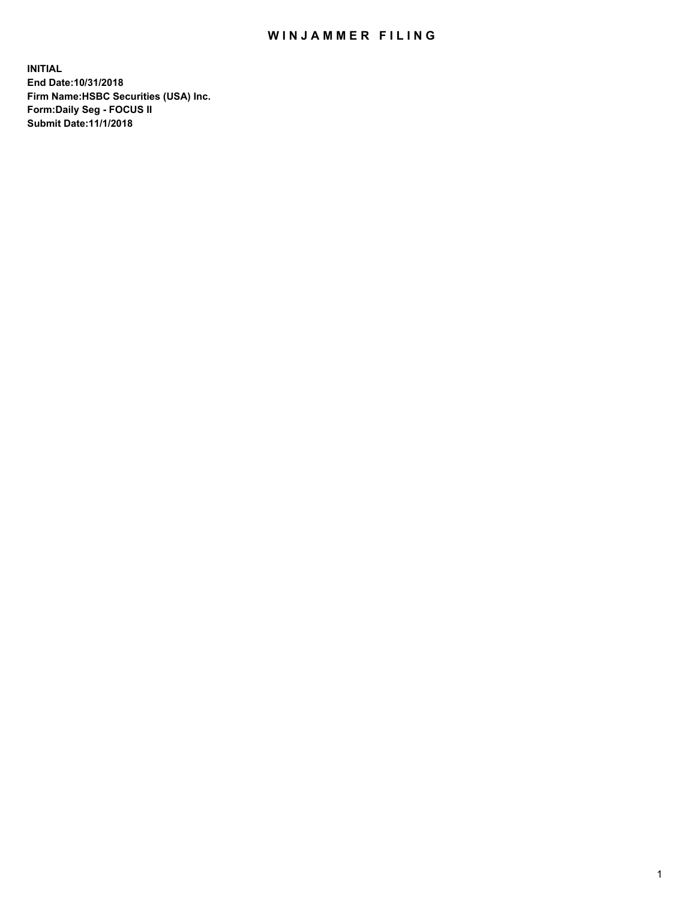## WIN JAMMER FILING

**INITIAL End Date:10/31/2018 Firm Name:HSBC Securities (USA) Inc. Form:Daily Seg - FOCUS II Submit Date:11/1/2018**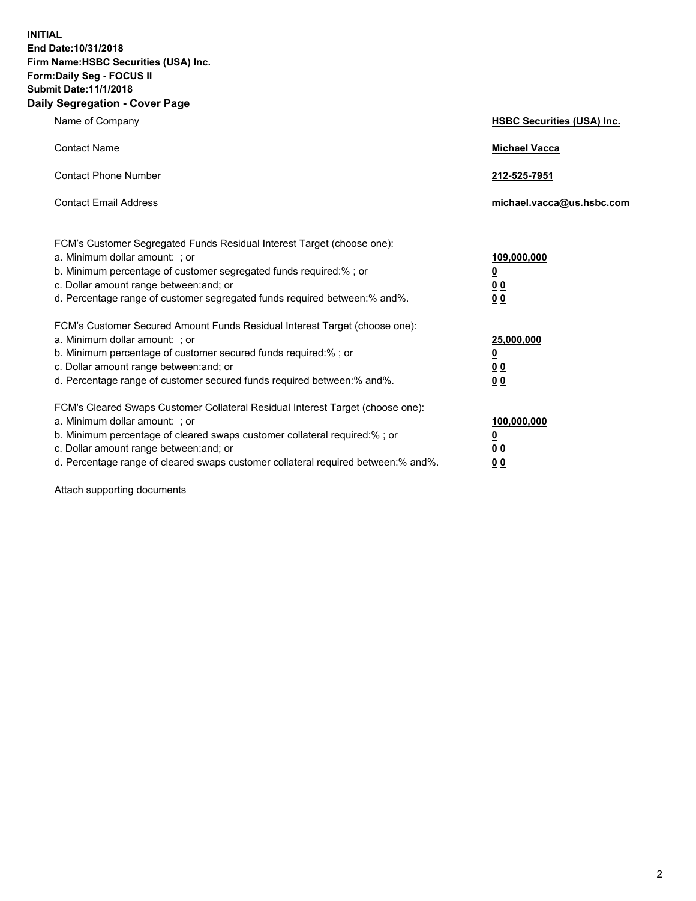**INITIAL End Date:10/31/2018 Firm Name:HSBC Securities (USA) Inc. Form:Daily Seg - FOCUS II Submit Date:11/1/2018 Daily Segregation - Cover Page**

| Name of Company                                                                                                                                                                                                                                                                                                               | <b>HSBC Securities (USA) Inc.</b>                                          |
|-------------------------------------------------------------------------------------------------------------------------------------------------------------------------------------------------------------------------------------------------------------------------------------------------------------------------------|----------------------------------------------------------------------------|
| <b>Contact Name</b>                                                                                                                                                                                                                                                                                                           | <b>Michael Vacca</b>                                                       |
| <b>Contact Phone Number</b>                                                                                                                                                                                                                                                                                                   | 212-525-7951                                                               |
| <b>Contact Email Address</b>                                                                                                                                                                                                                                                                                                  | michael.vacca@us.hsbc.com                                                  |
| FCM's Customer Segregated Funds Residual Interest Target (choose one):<br>a. Minimum dollar amount: ; or<br>b. Minimum percentage of customer segregated funds required:%; or<br>c. Dollar amount range between: and; or<br>d. Percentage range of customer segregated funds required between:% and%.                         | 109,000,000<br>$\overline{\mathbf{0}}$<br>0 <sub>0</sub><br>0 <sub>0</sub> |
| FCM's Customer Secured Amount Funds Residual Interest Target (choose one):<br>a. Minimum dollar amount: ; or<br>b. Minimum percentage of customer secured funds required:%; or<br>c. Dollar amount range between: and; or<br>d. Percentage range of customer secured funds required between:% and%.                           | 25,000,000<br><u>0</u><br>0 <sub>0</sub><br>0 <sub>0</sub>                 |
| FCM's Cleared Swaps Customer Collateral Residual Interest Target (choose one):<br>a. Minimum dollar amount: ; or<br>b. Minimum percentage of cleared swaps customer collateral required:%; or<br>c. Dollar amount range between: and; or<br>d. Percentage range of cleared swaps customer collateral required between:% and%. | 100,000,000<br><u>0</u><br><u>00</u><br>00                                 |

Attach supporting documents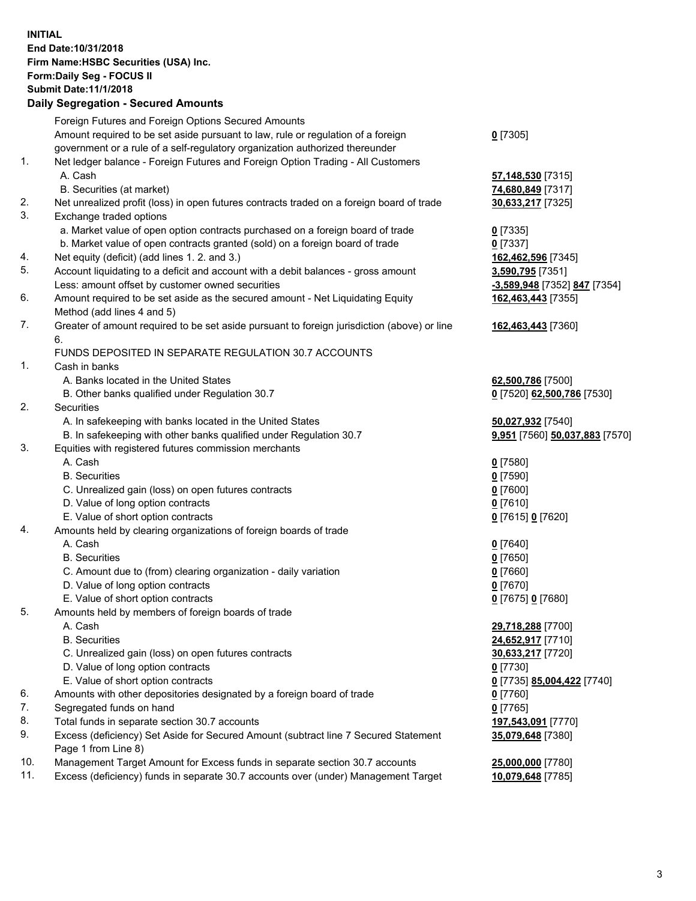**INITIAL End Date:10/31/2018 Firm Name:HSBC Securities (USA) Inc. Form:Daily Seg - FOCUS II Submit Date:11/1/2018 Daily Segregation - Secured Amounts** Foreign Futures and Foreign Options Secured Amounts Amount required to be set aside pursuant to law, rule or regulation of a foreign government or a rule of a self-regulatory organization authorized thereunder **0** [7305] 1. Net ledger balance - Foreign Futures and Foreign Option Trading - All Customers A. Cash **57,148,530** [7315] B. Securities (at market) **74,680,849** [7317] 2. Net unrealized profit (loss) in open futures contracts traded on a foreign board of trade **30,633,217** [7325] 3. Exchange traded options a. Market value of open option contracts purchased on a foreign board of trade **0** [7335] b. Market value of open contracts granted (sold) on a foreign board of trade **0** [7337] 4. Net equity (deficit) (add lines 1. 2. and 3.) **162,462,596** [7345] 5. Account liquidating to a deficit and account with a debit balances - gross amount **3,590,795** [7351] Less: amount offset by customer owned securities **-3,589,948** [7352] **847** [7354] 6. Amount required to be set aside as the secured amount - Net Liquidating Equity Method (add lines 4 and 5) **162,463,443** [7355] 7. Greater of amount required to be set aside pursuant to foreign jurisdiction (above) or line 6. **162,463,443** [7360] FUNDS DEPOSITED IN SEPARATE REGULATION 30.7 ACCOUNTS 1. Cash in banks A. Banks located in the United States **62,500,786** [7500] B. Other banks qualified under Regulation 30.7 **0** [7520] **62,500,786** [7530] 2. Securities A. In safekeeping with banks located in the United States **50,027,932** [7540] B. In safekeeping with other banks qualified under Regulation 30.7 **9,951** [7560] **50,037,883** [7570] 3. Equities with registered futures commission merchants A. Cash **0** [7580] B. Securities **0** [7590] C. Unrealized gain (loss) on open futures contracts **0** [7600] D. Value of long option contracts **0** [7610] E. Value of short option contracts **0** [7615] **0** [7620] 4. Amounts held by clearing organizations of foreign boards of trade A. Cash **0** [7640] B. Securities **0** [7650] C. Amount due to (from) clearing organization - daily variation **0** [7660] D. Value of long option contracts **0** [7670] E. Value of short option contracts **0** [7675] **0** [7680] 5. Amounts held by members of foreign boards of trade A. Cash **29,718,288** [7700] B. Securities **24,652,917** [7710] C. Unrealized gain (loss) on open futures contracts **30,633,217** [7720] D. Value of long option contracts **0** [7730] E. Value of short option contracts **0** [7735] **85,004,422** [7740] 6. Amounts with other depositories designated by a foreign board of trade **0** [7760] 7. Segregated funds on hand **0** [7765] 8. Total funds in separate section 30.7 accounts **197,543,091** [7770] 9. Excess (deficiency) Set Aside for Secured Amount (subtract line 7 Secured Statement Page 1 from Line 8) **35,079,648** [7380] 10. Management Target Amount for Excess funds in separate section 30.7 accounts **25,000,000** [7780] 11. Excess (deficiency) funds in separate 30.7 accounts over (under) Management Target **10,079,648** [7785]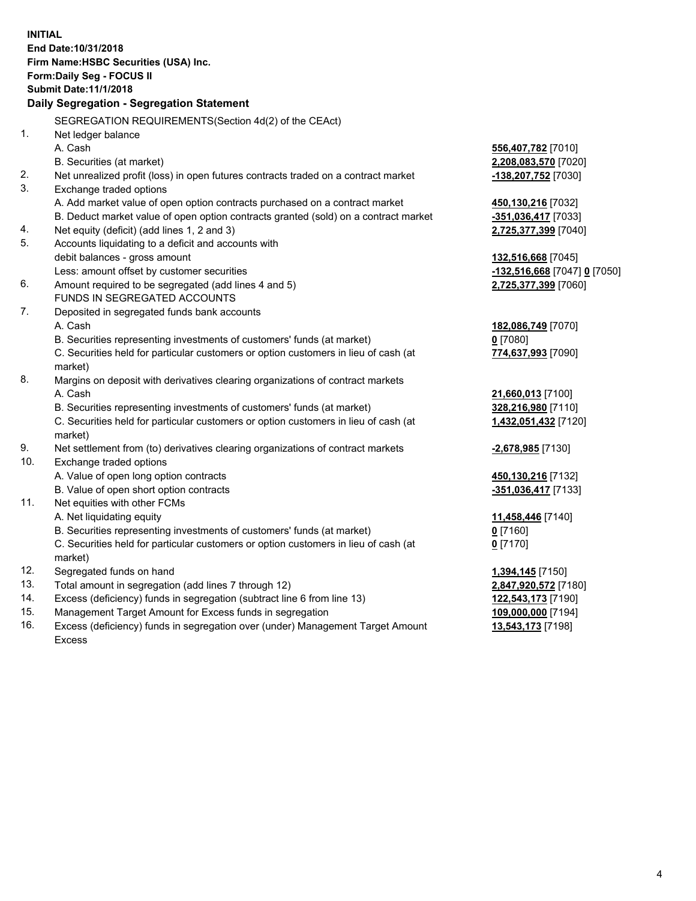| <b>INITIAL</b> |                                                                                            |                                            |
|----------------|--------------------------------------------------------------------------------------------|--------------------------------------------|
|                | End Date: 10/31/2018                                                                       |                                            |
|                | Firm Name: HSBC Securities (USA) Inc.                                                      |                                            |
|                | Form: Daily Seg - FOCUS II                                                                 |                                            |
|                | <b>Submit Date:11/1/2018</b>                                                               |                                            |
|                | Daily Segregation - Segregation Statement                                                  |                                            |
|                | SEGREGATION REQUIREMENTS(Section 4d(2) of the CEAct)                                       |                                            |
| 1.             | Net ledger balance                                                                         |                                            |
|                | A. Cash                                                                                    | 556,407,782 [7010]                         |
|                | B. Securities (at market)                                                                  | 2,208,083,570 [7020]                       |
| 2.             | Net unrealized profit (loss) in open futures contracts traded on a contract market         | -138,207,752 [7030]                        |
| 3.             |                                                                                            |                                            |
|                | Exchange traded options                                                                    |                                            |
|                | A. Add market value of open option contracts purchased on a contract market                | 450,130,216 [7032]                         |
|                | B. Deduct market value of open option contracts granted (sold) on a contract market        | -351,036,417 [7033]                        |
| 4.<br>5.       | Net equity (deficit) (add lines 1, 2 and 3)                                                | 2,725,377,399 [7040]                       |
|                | Accounts liquidating to a deficit and accounts with                                        |                                            |
|                | debit balances - gross amount                                                              | 132,516,668 [7045]                         |
|                | Less: amount offset by customer securities                                                 | -132,516,668 [7047] 0 [7050]               |
| 6.             | Amount required to be segregated (add lines 4 and 5)                                       | 2,725,377,399 [7060]                       |
|                | FUNDS IN SEGREGATED ACCOUNTS                                                               |                                            |
| 7.             | Deposited in segregated funds bank accounts                                                |                                            |
|                | A. Cash                                                                                    | 182,086,749 [7070]                         |
|                | B. Securities representing investments of customers' funds (at market)                     | $0$ [7080]                                 |
|                | C. Securities held for particular customers or option customers in lieu of cash (at        | 774,637,993 [7090]                         |
|                | market)                                                                                    |                                            |
| 8.             | Margins on deposit with derivatives clearing organizations of contract markets             |                                            |
|                | A. Cash                                                                                    | 21,660,013 [7100]                          |
|                | B. Securities representing investments of customers' funds (at market)                     | 328,216,980 [7110]                         |
|                | C. Securities held for particular customers or option customers in lieu of cash (at        | 1,432,051,432 [7120]                       |
| 9.             | market)<br>Net settlement from (to) derivatives clearing organizations of contract markets | -2,678,985 [7130]                          |
| 10.            | Exchange traded options                                                                    |                                            |
|                | A. Value of open long option contracts                                                     | 450,130,216 [7132]                         |
|                | B. Value of open short option contracts                                                    | -351,036,417 [7133]                        |
| 11.            | Net equities with other FCMs                                                               |                                            |
|                | A. Net liquidating equity                                                                  | 11,458,446 [7140]                          |
|                | B. Securities representing investments of customers' funds (at market)                     | $0$ [7160]                                 |
|                | C. Securities held for particular customers or option customers in lieu of cash (at        |                                            |
|                |                                                                                            | $0$ [7170]                                 |
| 12.            | market)<br>Segregated funds on hand                                                        |                                            |
| 13.            | Total amount in segregation (add lines 7 through 12)                                       | 1,394,145 [7150]                           |
| 14.            | Excess (deficiency) funds in segregation (subtract line 6 from line 13)                    | 2,847,920,572 [7180]<br>122,543,173 [7190] |
| 15.            | Management Target Amount for Excess funds in segregation                                   | 109,000,000 [7194]                         |
| $\overline{ }$ |                                                                                            |                                            |

16. Excess (deficiency) funds in segregation over (under) Management Target Amount Excess

**13,543,173** [7198]